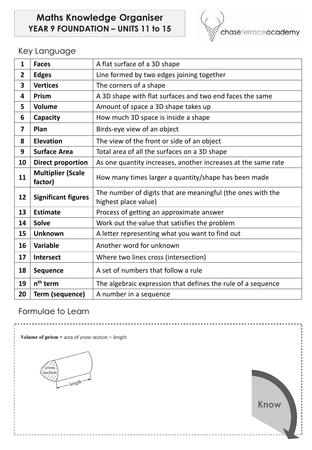# **Maths Knowledge Organiser YEAR 9 FOUNDATION – UNITS 11 to 15**



## Key Language

| $\mathbf{1}$            | <b>Faces</b>                        | A flat surface of a 3D shape                                                        |
|-------------------------|-------------------------------------|-------------------------------------------------------------------------------------|
| $\overline{2}$          | <b>Edges</b>                        | Line formed by two edges joining together                                           |
| $\overline{\mathbf{3}}$ | <b>Vertices</b>                     | The corners of a shape                                                              |
| 4                       | Prism                               | A 3D shape with flat surfaces and two end faces the same                            |
| 5                       | <b>Volume</b>                       | Amount of space a 3D shape takes up                                                 |
| 6                       | Capacity                            | How much 3D space is inside a shape                                                 |
| $\overline{7}$          | Plan                                | Birds-eye view of an object                                                         |
| 8                       | <b>Elevation</b>                    | The view of the front or side of an object                                          |
| 9                       | <b>Surface Area</b>                 | Total area of all the surfaces on a 3D shape                                        |
| 10                      | <b>Direct proportion</b>            | As one quantity increases, another increases at the same rate                       |
| 11                      | <b>Multiplier (Scale</b><br>factor) | How many times larger a quantity/shape has been made                                |
| 12                      | <b>Significant figures</b>          | The number of digits that are meaningful (the ones with the<br>highest place value) |
| 13                      | <b>Estimate</b>                     | Process of getting an approximate answer                                            |
| 14                      | <b>Solve</b>                        | Work out the value that satisfies the problem                                       |
| 15                      | <b>Unknown</b>                      | A letter representing what you want to find out                                     |
| 16                      | Variable                            | Another word for unknown                                                            |
| 17                      | Intersect                           | Where two lines cross (intersection)                                                |
| 18                      | <b>Sequence</b>                     | A set of numbers that follow a rule                                                 |
| 19                      | n <sup>th</sup> term                | The algebraic expression that defines the rule of a sequence                        |
| 20                      | Term (sequence)                     | A number in a sequence                                                              |

## Formulae to Learn

Volume of prism = area of cross section  $\times$  length

cross section  $Iength$ 

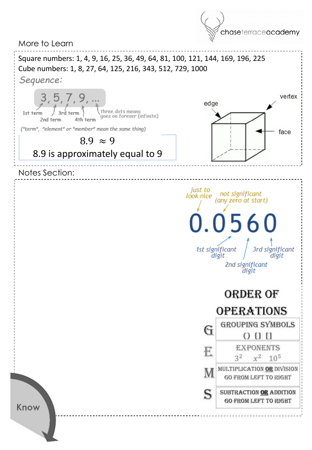More to Learn



chaseterraceacademy